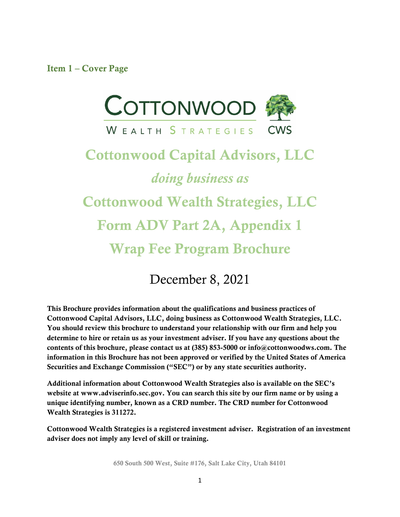<span id="page-0-0"></span>Item 1 – Cover Page



# Cottonwood Capital Advisors, LLC *doing business as* Cottonwood Wealth Strategies, LLC Form ADV Part 2A, Appendix 1 Wrap Fee Program Brochure

## December 8, 2021

This Brochure provides information about the qualifications and business practices of Cottonwood Capital Advisors, LLC, doing business as Cottonwood Wealth Strategies, LLC. You should review this brochure to understand your relationship with our firm and help you determine to hire or retain us as your investment adviser. If you have any questions about the contents of this brochure, please contact us at (385) 853-5000 or info@cottonwoodws.com. The information in this Brochure has not been approved or verified by the United States of America Securities and Exchange Commission ("SEC") or by any state securities authority.

Additional information about Cottonwood Wealth Strategies also is available on the SEC's website at www.adviserinfo.sec.gov. You can search this site by our firm name or by using a unique identifying number, known as a CRD number. The CRD number for Cottonwood Wealth Strategies is 311272.

Cottonwood Wealth Strategies is a registered investment adviser. Registration of an investment adviser does not imply any level of skill or training.

650 South 500 West, Suite #176, Salt Lake City, Utah 84101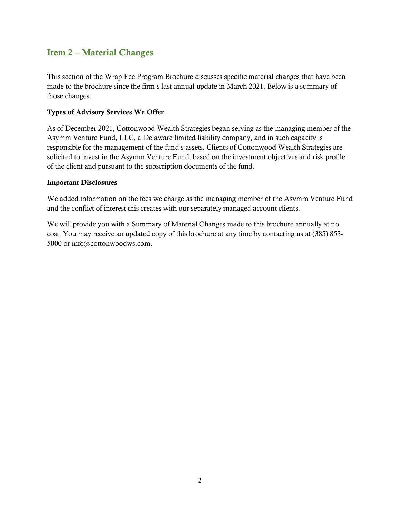## <span id="page-1-0"></span>Item 2 – Material Changes

This section of the Wrap Fee Program Brochure discusses specific material changes that have been made to the brochure since the firm's last annual update in March 2021. Below is a summary of those changes.

#### Types of Advisory Services We Offer

As of December 2021, Cottonwood Wealth Strategies began serving as the managing member of the Asymm Venture Fund, LLC, a Delaware limited liability company, and in such capacity is responsible for the management of the fund's assets. Clients of Cottonwood Wealth Strategies are solicited to invest in the Asymm Venture Fund, based on the investment objectives and risk profile of the client and pursuant to the subscription documents of the fund.

#### Important Disclosures

We added information on the fees we charge as the managing member of the Asymm Venture Fund and the conflict of interest this creates with our separately managed account clients.

We will provide you with a Summary of Material Changes made to this brochure annually at no cost. You may receive an updated copy of this brochure at any time by contacting us at (385) 853- 5000 or info@cottonwoodws.com.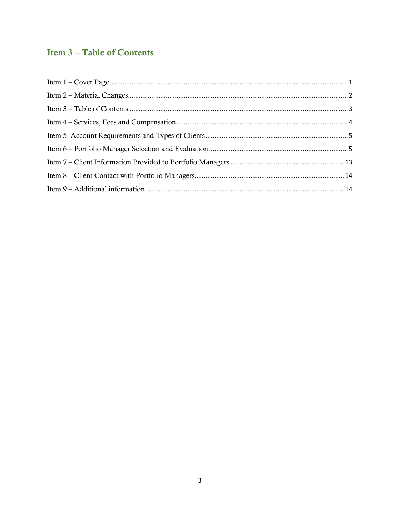## <span id="page-2-0"></span>**Item 3-Table of Contents**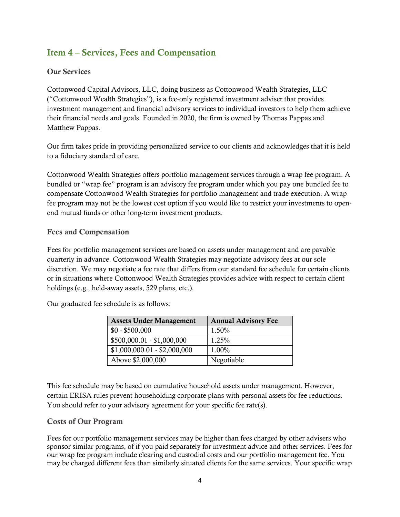## <span id="page-3-0"></span>Item 4 – Services, Fees and Compensation

#### Our Services

Cottonwood Capital Advisors, LLC, doing business as Cottonwood Wealth Strategies, LLC ("Cottonwood Wealth Strategies"), is a fee-only registered investment adviser that provides investment management and financial advisory services to individual investors to help them achieve their financial needs and goals. Founded in 2020, the firm is owned by Thomas Pappas and Matthew Pappas.

Our firm takes pride in providing personalized service to our clients and acknowledges that it is held to a fiduciary standard of care.

Cottonwood Wealth Strategies offers portfolio management services through a wrap fee program. A bundled or "wrap fee" program is an advisory fee program under which you pay one bundled fee to compensate Cottonwood Wealth Strategies for portfolio management and trade execution. A wrap fee program may not be the lowest cost option if you would like to restrict your investments to openend mutual funds or other long-term investment products.

#### Fees and Compensation

Fees for portfolio management services are based on assets under management and are payable quarterly in advance. Cottonwood Wealth Strategies may negotiate advisory fees at our sole discretion. We may negotiate a fee rate that differs from our standard fee schedule for certain clients or in situations where Cottonwood Wealth Strategies provides advice with respect to certain client holdings (e.g., held-away assets, 529 plans, etc.).

Our graduated fee schedule is as follows:

| <b>Assets Under Management</b> | <b>Annual Advisory Fee</b> |
|--------------------------------|----------------------------|
| $$0 - $500,000$                | 1.50%                      |
| $$500,000.01 - $1,000,000$     | 1.25%                      |
| $$1,000,000.01 - $2,000,000$   | 1.00%                      |
| Above \$2,000,000              | Negotiable                 |

This fee schedule may be based on cumulative household assets under management. However, certain ERISA rules prevent householding corporate plans with personal assets for fee reductions. You should refer to your advisory agreement for your specific fee rate(s).

#### Costs of Our Program

Fees for our portfolio management services may be higher than fees charged by other advisers who sponsor similar programs, of if you paid separately for investment advice and other services. Fees for our wrap fee program include clearing and custodial costs and our portfolio management fee. You may be charged different fees than similarly situated clients for the same services. Your specific wrap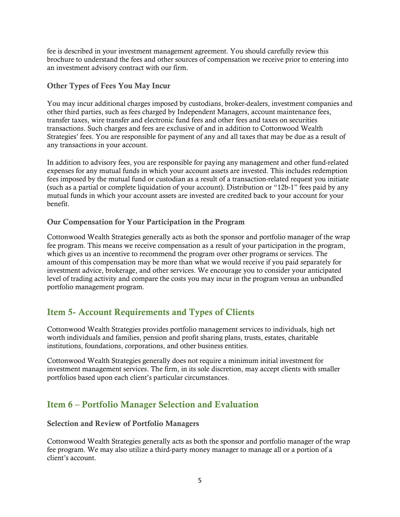fee is described in your investment management agreement. You should carefully review this brochure to understand the fees and other sources of compensation we receive prior to entering into an investment advisory contract with our firm.

#### Other Types of Fees You May Incur

You may incur additional charges imposed by custodians, broker-dealers, investment companies and other third parties, such as fees charged by Independent Managers, account maintenance fees, transfer taxes, wire transfer and electronic fund fees and other fees and taxes on securities transactions. Such charges and fees are exclusive of and in addition to Cottonwood Wealth Strategies' fees. You are responsible for payment of any and all taxes that may be due as a result of any transactions in your account.

In addition to advisory fees, you are responsible for paying any management and other fund-related expenses for any mutual funds in which your account assets are invested. This includes redemption fees imposed by the mutual fund or custodian as a result of a transaction-related request you initiate (such as a partial or complete liquidation of your account). Distribution or "12b-1" fees paid by any mutual funds in which your account assets are invested are credited back to your account for your benefit.

#### Our Compensation for Your Participation in the Program

Cottonwood Wealth Strategies generally acts as both the sponsor and portfolio manager of the wrap fee program. This means we receive compensation as a result of your participation in the program, which gives us an incentive to recommend the program over other programs or services. The amount of this compensation may be more than what we would receive if you paid separately for investment advice, brokerage, and other services. We encourage you to consider your anticipated level of trading activity and compare the costs you may incur in the program versus an unbundled portfolio management program.

## <span id="page-4-0"></span>Item 5- Account Requirements and Types of Clients

Cottonwood Wealth Strategies provides portfolio management services to individuals, high net worth individuals and families, pension and profit sharing plans, trusts, estates, charitable institutions, foundations, corporations, and other business entities.

Cottonwood Wealth Strategies generally does not require a minimum initial investment for investment management services. The firm, in its sole discretion, may accept clients with smaller portfolios based upon each client's particular circumstances.

## <span id="page-4-1"></span>Item 6 – Portfolio Manager Selection and Evaluation

#### Selection and Review of Portfolio Managers

Cottonwood Wealth Strategies generally acts as both the sponsor and portfolio manager of the wrap fee program. We may also utilize a third-party money manager to manage all or a portion of a client's account.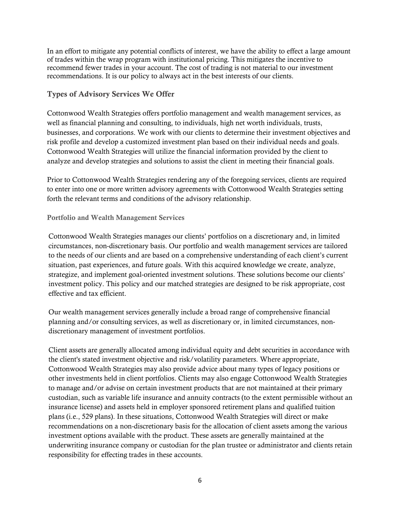In an effort to mitigate any potential conflicts of interest, we have the ability to effect a large amount of trades within the wrap program with institutional pricing. This mitigates the incentive to recommend fewer trades in your account. The cost of trading is not material to our investment recommendations. It is our policy to always act in the best interests of our clients.

#### Types of Advisory Services We Offer

Cottonwood Wealth Strategies offers portfolio management and wealth management services, as well as financial planning and consulting, to individuals, high net worth individuals, trusts, businesses, and corporations. We work with our clients to determine their investment objectives and risk profile and develop a customized investment plan based on their individual needs and goals. Cottonwood Wealth Strategies will utilize the financial information provided by the client to analyze and develop strategies and solutions to assist the client in meeting their financial goals.

Prior to Cottonwood Wealth Strategies rendering any of the foregoing services, clients are required to enter into one or more written advisory agreements with Cottonwood Wealth Strategies setting forth the relevant terms and conditions of the advisory relationship.

#### Portfolio and Wealth Management Services

Cottonwood Wealth Strategies manages our clients' portfolios on a discretionary and, in limited circumstances, non-discretionary basis. Our portfolio and wealth management services are tailored to the needs of our clients and are based on a comprehensive understanding of each client's current situation, past experiences, and future goals. With this acquired knowledge we create, analyze, strategize, and implement goal-oriented investment solutions. These solutions become our clients' investment policy. This policy and our matched strategies are designed to be risk appropriate, cost effective and tax efficient.

Our wealth management services generally include a broad range of comprehensive financial planning and/or consulting services, as well as discretionary or, in limited circumstances, nondiscretionary management of investment portfolios.

Client assets are generally allocated among individual equity and debt securities in accordance with the client's stated investment objective and risk/volatility parameters. Where appropriate, Cottonwood Wealth Strategies may also provide advice about many types of legacy positions or other investments held in client portfolios. Clients may also engage Cottonwood Wealth Strategies to manage and/or advise on certain investment products that are not maintained at their primary custodian, such as variable life insurance and annuity contracts (to the extent permissible without an insurance license) and assets held in employer sponsored retirement plans and qualified tuition plans (i.e., 529 plans). In these situations, Cottonwood Wealth Strategies will direct or make recommendations on a non-discretionary basis for the allocation of client assets among the various investment options available with the product. These assets are generally maintained at the underwriting insurance company or custodian for the plan trustee or administrator and clients retain responsibility for effecting trades in these accounts.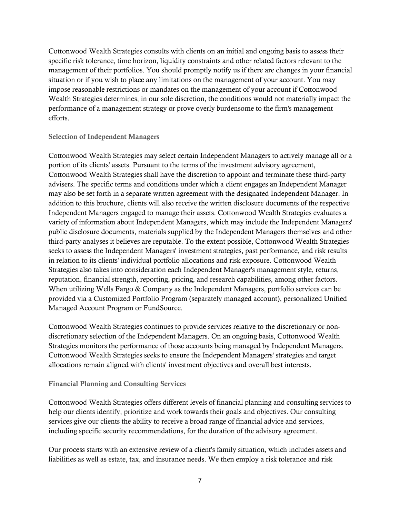Cottonwood Wealth Strategies consults with clients on an initial and ongoing basis to assess their specific risk tolerance, time horizon, liquidity constraints and other related factors relevant to the management of their portfolios. You should promptly notify us if there are changes in your financial situation or if you wish to place any limitations on the management of your account. You may impose reasonable restrictions or mandates on the management of your account if Cottonwood Wealth Strategies determines, in our sole discretion, the conditions would not materially impact the performance of a management strategy or prove overly burdensome to the firm's management efforts.

#### Selection of Independent Managers

Cottonwood Wealth Strategies may select certain Independent Managers to actively manage all or a portion of its clients' assets. Pursuant to the terms of the investment advisory agreement, Cottonwood Wealth Strategies shall have the discretion to appoint and terminate these third-party advisers. The specific terms and conditions under which a client engages an Independent Manager may also be set forth in a separate written agreement with the designated Independent Manager. In addition to this brochure, clients will also receive the written disclosure documents of the respective Independent Managers engaged to manage their assets. Cottonwood Wealth Strategies evaluates a variety of information about Independent Managers, which may include the Independent Managers' public disclosure documents, materials supplied by the Independent Managers themselves and other third-party analyses it believes are reputable. To the extent possible, Cottonwood Wealth Strategies seeks to assess the Independent Managers' investment strategies, past performance, and risk results in relation to its clients' individual portfolio allocations and risk exposure. Cottonwood Wealth Strategies also takes into consideration each Independent Manager's management style, returns, reputation, financial strength, reporting, pricing, and research capabilities, among other factors. When utilizing Wells Fargo & Company as the Independent Managers, portfolio services can be provided via a Customized Portfolio Program (separately managed account), personalized Unified Managed Account Program or FundSource.

Cottonwood Wealth Strategies continues to provide services relative to the discretionary or nondiscretionary selection of the Independent Managers. On an ongoing basis, Cottonwood Wealth Strategies monitors the performance of those accounts being managed by Independent Managers. Cottonwood Wealth Strategies seeks to ensure the Independent Managers' strategies and target allocations remain aligned with clients' investment objectives and overall best interests.

#### Financial Planning and Consulting Services

Cottonwood Wealth Strategies offers different levels of financial planning and consulting services to help our clients identify, prioritize and work towards their goals and objectives. Our consulting services give our clients the ability to receive a broad range of financial advice and services, including specific security recommendations, for the duration of the advisory agreement.

Our process starts with an extensive review of a client's family situation, which includes assets and liabilities as well as estate, tax, and insurance needs. We then employ a risk tolerance and risk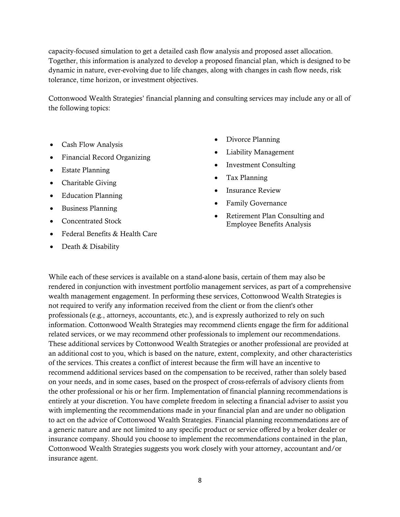capacity-focused simulation to get a detailed cash flow analysis and proposed asset allocation. Together, this information is analyzed to develop a proposed financial plan, which is designed to be dynamic in nature, ever-evolving due to life changes, along with changes in cash flow needs, risk tolerance, time horizon, or investment objectives.

Cottonwood Wealth Strategies' financial planning and consulting services may include any or all of the following topics:

- Cash Flow Analysis
- Financial Record Organizing
- Estate Planning
- Charitable Giving
- Education Planning
- Business Planning
- Concentrated Stock
- Federal Benefits & Health Care
- Death & Disability
- Divorce Planning
- Liability Management
- Investment Consulting
- Tax Planning
- Insurance Review
- Family Governance
- Retirement Plan Consulting and Employee Benefits Analysis

While each of these services is available on a stand-alone basis, certain of them may also be rendered in conjunction with investment portfolio management services, as part of a comprehensive wealth management engagement. In performing these services, Cottonwood Wealth Strategies is not required to verify any information received from the client or from the client's other professionals (e.g., attorneys, accountants, etc.), and is expressly authorized to rely on such information. Cottonwood Wealth Strategies may recommend clients engage the firm for additional related services, or we may recommend other professionals to implement our recommendations. These additional services by Cottonwood Wealth Strategies or another professional are provided at an additional cost to you, which is based on the nature, extent, complexity, and other characteristics of the services. This creates a conflict of interest because the firm will have an incentive to recommend additional services based on the compensation to be received, rather than solely based on your needs, and in some cases, based on the prospect of cross-referrals of advisory clients from the other professional or his or her firm. Implementation of financial planning recommendations is entirely at your discretion. You have complete freedom in selecting a financial adviser to assist you with implementing the recommendations made in your financial plan and are under no obligation to act on the advice of Cottonwood Wealth Strategies. Financial planning recommendations are of a generic nature and are not limited to any specific product or service offered by a broker dealer or insurance company. Should you choose to implement the recommendations contained in the plan, Cottonwood Wealth Strategies suggests you work closely with your attorney, accountant and/or insurance agent.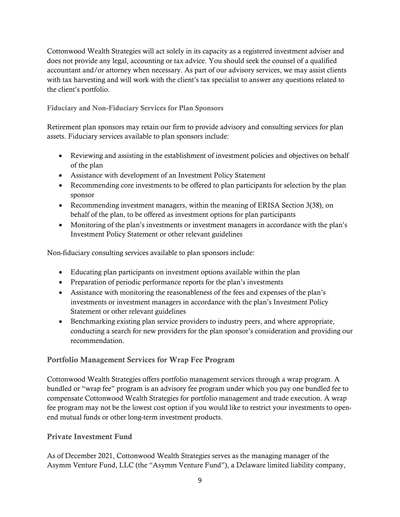Cottonwood Wealth Strategies will act solely in its capacity as a registered investment adviser and does not provide any legal, accounting or tax advice. You should seek the counsel of a qualified accountant and/or attorney when necessary. As part of our advisory services, we may assist clients with tax harvesting and will work with the client's tax specialist to answer any questions related to the client's portfolio.

Fiduciary and Non-Fiduciary Services for Plan Sponsors

Retirement plan sponsors may retain our firm to provide advisory and consulting services for plan assets. Fiduciary services available to plan sponsors include:

- Reviewing and assisting in the establishment of investment policies and objectives on behalf of the plan
- Assistance with development of an Investment Policy Statement
- Recommending core investments to be offered to plan participants for selection by the plan sponsor
- Recommending investment managers, within the meaning of ERISA Section 3(38), on behalf of the plan, to be offered as investment options for plan participants
- Monitoring of the plan's investments or investment managers in accordance with the plan's Investment Policy Statement or other relevant guidelines

Non-fiduciary consulting services available to plan sponsors include:

- Educating plan participants on investment options available within the plan
- Preparation of periodic performance reports for the plan's investments
- Assistance with monitoring the reasonableness of the fees and expenses of the plan's investments or investment managers in accordance with the plan's Investment Policy Statement or other relevant guidelines
- Benchmarking existing plan service providers to industry peers, and where appropriate, conducting a search for new providers for the plan sponsor's consideration and providing our recommendation.

#### Portfolio Management Services for Wrap Fee Program

Cottonwood Wealth Strategies offers portfolio management services through a wrap program. A bundled or "wrap fee" program is an advisory fee program under which you pay one bundled fee to compensate Cottonwood Wealth Strategies for portfolio management and trade execution. A wrap fee program may not be the lowest cost option if you would like to restrict your investments to openend mutual funds or other long-term investment products.

#### Private Investment Fund

As of December 2021, Cottonwood Wealth Strategies serves as the managing manager of the Asymm Venture Fund, LLC (the "Asymm Venture Fund"), a Delaware limited liability company,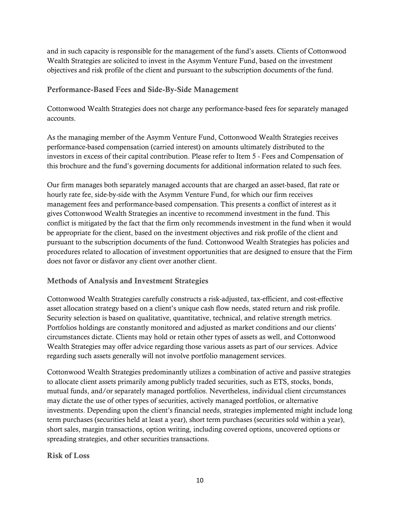and in such capacity is responsible for the management of the fund's assets. Clients of Cottonwood Wealth Strategies are solicited to invest in the Asymm Venture Fund, based on the investment objectives and risk profile of the client and pursuant to the subscription documents of the fund.

#### Performance-Based Fees and Side-By-Side Management

Cottonwood Wealth Strategies does not charge any performance-based fees for separately managed accounts.

As the managing member of the Asymm Venture Fund, Cottonwood Wealth Strategies receives performance-based compensation (carried interest) on amounts ultimately distributed to the investors in excess of their capital contribution. Please refer to Item 5 - Fees and Compensation of this brochure and the fund's governing documents for additional information related to such fees.

Our firm manages both separately managed accounts that are charged an asset-based, flat rate or hourly rate fee, side-by-side with the Asymm Venture Fund, for which our firm receives management fees and performance-based compensation. This presents a conflict of interest as it gives Cottonwood Wealth Strategies an incentive to recommend investment in the fund. This conflict is mitigated by the fact that the firm only recommends investment in the fund when it would be appropriate for the client, based on the investment objectives and risk profile of the client and pursuant to the subscription documents of the fund. Cottonwood Wealth Strategies has policies and procedures related to allocation of investment opportunities that are designed to ensure that the Firm does not favor or disfavor any client over another client.

#### Methods of Analysis and Investment Strategies

Cottonwood Wealth Strategies carefully constructs a risk-adjusted, tax-efficient, and cost-effective asset allocation strategy based on a client's unique cash flow needs, stated return and risk profile. Security selection is based on qualitative, quantitative, technical, and relative strength metrics. Portfolios holdings are constantly monitored and adjusted as market conditions and our clients' circumstances dictate. Clients may hold or retain other types of assets as well, and Cottonwood Wealth Strategies may offer advice regarding those various assets as part of our services. Advice regarding such assets generally will not involve portfolio management services.

Cottonwood Wealth Strategies predominantly utilizes a combination of active and passive strategies to allocate client assets primarily among publicly traded securities, such as ETS, stocks, bonds, mutual funds, and/or separately managed portfolios. Nevertheless, individual client circumstances may dictate the use of other types of securities, actively managed portfolios, or alternative investments. Depending upon the client's financial needs, strategies implemented might include long term purchases (securities held at least a year), short term purchases (securities sold within a year), short sales, margin transactions, option writing, including covered options, uncovered options or spreading strategies, and other securities transactions.

Risk of Loss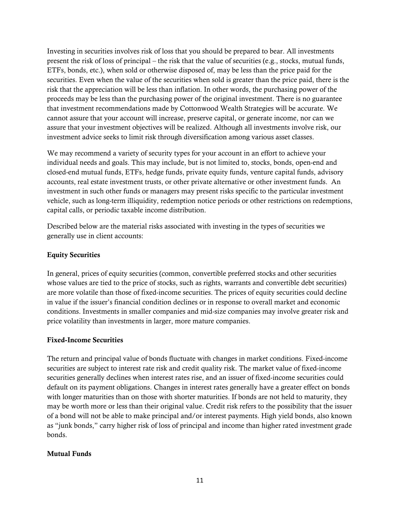Investing in securities involves risk of loss that you should be prepared to bear. All investments present the risk of loss of principal – the risk that the value of securities (e.g., stocks, mutual funds, ETFs, bonds, etc.), when sold or otherwise disposed of, may be less than the price paid for the securities. Even when the value of the securities when sold is greater than the price paid, there is the risk that the appreciation will be less than inflation. In other words, the purchasing power of the proceeds may be less than the purchasing power of the original investment. There is no guarantee that investment recommendations made by Cottonwood Wealth Strategies will be accurate. We cannot assure that your account will increase, preserve capital, or generate income, nor can we assure that your investment objectives will be realized. Although all investments involve risk, our investment advice seeks to limit risk through diversification among various asset classes.

We may recommend a variety of security types for your account in an effort to achieve your individual needs and goals. This may include, but is not limited to, stocks, bonds, open-end and closed-end mutual funds, ETFs, hedge funds, private equity funds, venture capital funds, advisory accounts, real estate investment trusts, or other private alternative or other investment funds. An investment in such other funds or managers may present risks specific to the particular investment vehicle, such as long-term illiquidity, redemption notice periods or other restrictions on redemptions, capital calls, or periodic taxable income distribution.

Described below are the material risks associated with investing in the types of securities we generally use in client accounts:

#### Equity Securities

In general, prices of equity securities (common, convertible preferred stocks and other securities whose values are tied to the price of stocks, such as rights, warrants and convertible debt securities) are more volatile than those of fixed-income securities. The prices of equity securities could decline in value if the issuer's financial condition declines or in response to overall market and economic conditions. Investments in smaller companies and mid-size companies may involve greater risk and price volatility than investments in larger, more mature companies.

#### Fixed-Income Securities

The return and principal value of bonds fluctuate with changes in market conditions. Fixed-income securities are subject to interest rate risk and credit quality risk. The market value of fixed-income securities generally declines when interest rates rise, and an issuer of fixed-income securities could default on its payment obligations. Changes in interest rates generally have a greater effect on bonds with longer maturities than on those with shorter maturities. If bonds are not held to maturity, they may be worth more or less than their original value. Credit risk refers to the possibility that the issuer of a bond will not be able to make principal and/or interest payments. High yield bonds, also known as "junk bonds," carry higher risk of loss of principal and income than higher rated investment grade bonds.

#### Mutual Funds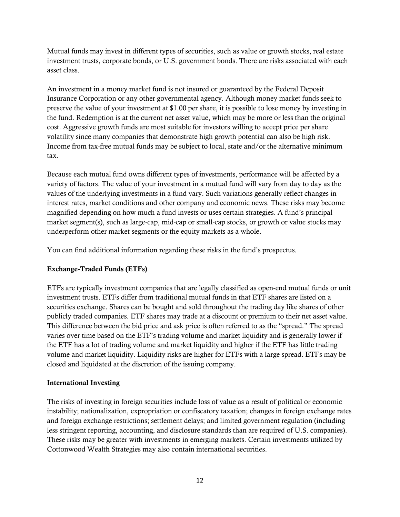Mutual funds may invest in different types of securities, such as value or growth stocks, real estate investment trusts, corporate bonds, or U.S. government bonds. There are risks associated with each asset class.

An investment in a money market fund is not insured or guaranteed by the Federal Deposit Insurance Corporation or any other governmental agency. Although money market funds seek to preserve the value of your investment at \$1.00 per share, it is possible to lose money by investing in the fund. Redemption is at the current net asset value, which may be more or less than the original cost. Aggressive growth funds are most suitable for investors willing to accept price per share volatility since many companies that demonstrate high growth potential can also be high risk. Income from tax-free mutual funds may be subject to local, state and/or the alternative minimum tax.

Because each mutual fund owns different types of investments, performance will be affected by a variety of factors. The value of your investment in a mutual fund will vary from day to day as the values of the underlying investments in a fund vary. Such variations generally reflect changes in interest rates, market conditions and other company and economic news. These risks may become magnified depending on how much a fund invests or uses certain strategies. A fund's principal market segment(s), such as large-cap, mid-cap or small-cap stocks, or growth or value stocks may underperform other market segments or the equity markets as a whole.

You can find additional information regarding these risks in the fund's prospectus.

#### Exchange-Traded Funds (ETFs)

ETFs are typically investment companies that are legally classified as open-end mutual funds or unit investment trusts. ETFs differ from traditional mutual funds in that ETF shares are listed on a securities exchange. Shares can be bought and sold throughout the trading day like shares of other publicly traded companies. ETF shares may trade at a discount or premium to their net asset value. This difference between the bid price and ask price is often referred to as the "spread." The spread varies over time based on the ETF's trading volume and market liquidity and is generally lower if the ETF has a lot of trading volume and market liquidity and higher if the ETF has little trading volume and market liquidity. Liquidity risks are higher for ETFs with a large spread. ETFs may be closed and liquidated at the discretion of the issuing company.

#### International Investing

The risks of investing in foreign securities include loss of value as a result of political or economic instability; nationalization, expropriation or confiscatory taxation; changes in foreign exchange rates and foreign exchange restrictions; settlement delays; and limited government regulation (including less stringent reporting, accounting, and disclosure standards than are required of U.S. companies). These risks may be greater with investments in emerging markets. Certain investments utilized by Cottonwood Wealth Strategies may also contain international securities.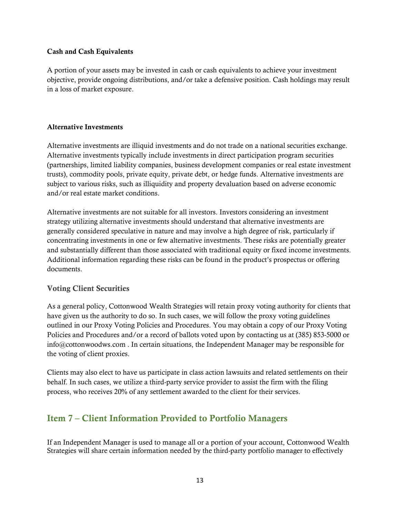#### Cash and Cash Equivalents

A portion of your assets may be invested in cash or cash equivalents to achieve your investment objective, provide ongoing distributions, and/or take a defensive position. Cash holdings may result in a loss of market exposure.

#### Alternative Investments

Alternative investments are illiquid investments and do not trade on a national securities exchange. Alternative investments typically include investments in direct participation program securities (partnerships, limited liability companies, business development companies or real estate investment trusts), commodity pools, private equity, private debt, or hedge funds. Alternative investments are subject to various risks, such as illiquidity and property devaluation based on adverse economic and/or real estate market conditions.

Alternative investments are not suitable for all investors. Investors considering an investment strategy utilizing alternative investments should understand that alternative investments are generally considered speculative in nature and may involve a high degree of risk, particularly if concentrating investments in one or few alternative investments. These risks are potentially greater and substantially different than those associated with traditional equity or fixed income investments. Additional information regarding these risks can be found in the product's prospectus or offering documents.

#### Voting Client Securities

As a general policy, Cottonwood Wealth Strategies will retain proxy voting authority for clients that have given us the authority to do so. In such cases, we will follow the proxy voting guidelines outlined in our Proxy Voting Policies and Procedures. You may obtain a copy of our Proxy Voting Policies and Procedures and/or a record of ballots voted upon by contacting us at (385) 853-5000 or info@cottonwoodws.com . In certain situations, the Independent Manager may be responsible for the voting of client proxies.

Clients may also elect to have us participate in class action lawsuits and related settlements on their behalf. In such cases, we utilize a third-party service provider to assist the firm with the filing process, who receives 20% of any settlement awarded to the client for their services.

## <span id="page-12-0"></span>Item 7 – Client Information Provided to Portfolio Managers

If an Independent Manager is used to manage all or a portion of your account, Cottonwood Wealth Strategies will share certain information needed by the third-party portfolio manager to effectively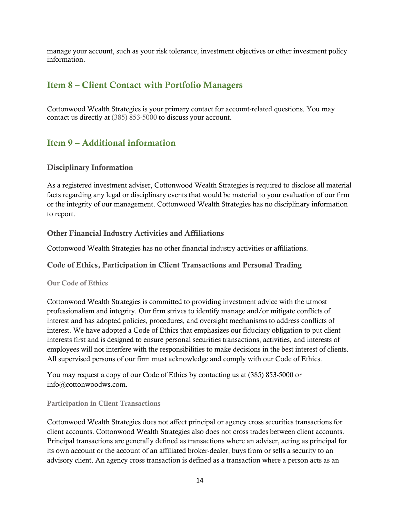<span id="page-13-0"></span>manage your account, such as your risk tolerance, investment objectives or other investment policy information.

### Item 8 – Client Contact with Portfolio Managers

Cottonwood Wealth Strategies is your primary contact for account-related questions. You may contact us directly at (385) 853-5000 to discuss your account.

## <span id="page-13-1"></span>Item 9 – Additional information

#### Disciplinary Information

As a registered investment adviser, Cottonwood Wealth Strategies is required to disclose all material facts regarding any legal or disciplinary events that would be material to your evaluation of our firm or the integrity of our management. Cottonwood Wealth Strategies has no disciplinary information to report.

#### Other Financial Industry Activities and Affiliations

Cottonwood Wealth Strategies has no other financial industry activities or affiliations.

#### Code of Ethics, Participation in Client Transactions and Personal Trading

Our Code of Ethics

Cottonwood Wealth Strategies is committed to providing investment advice with the utmost professionalism and integrity. Our firm strives to identify manage and/or mitigate conflicts of interest and has adopted policies, procedures, and oversight mechanisms to address conflicts of interest. We have adopted a Code of Ethics that emphasizes our fiduciary obligation to put client interests first and is designed to ensure personal securities transactions, activities, and interests of employees will not interfere with the responsibilities to make decisions in the best interest of clients. All supervised persons of our firm must acknowledge and comply with our Code of Ethics.

You may request a copy of our Code of Ethics by contacting us at (385) 853-5000 or info@cottonwoodws.com.

#### Participation in Client Transactions

Cottonwood Wealth Strategies does not affect principal or agency cross securities transactions for client accounts. Cottonwood Wealth Strategies also does not cross trades between client accounts. Principal transactions are generally defined as transactions where an adviser, acting as principal for its own account or the account of an affiliated broker-dealer, buys from or sells a security to an advisory client. An agency cross transaction is defined as a transaction where a person acts as an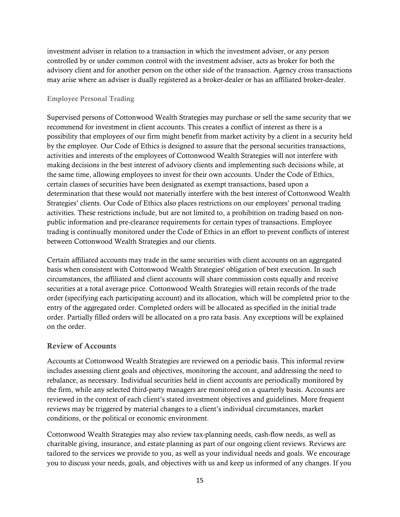investment adviser in relation to a transaction in which the investment adviser, or any person controlled by or under common control with the investment adviser, acts as broker for both the advisory client and for another person on the other side of the transaction. Agency cross transactions may arise where an adviser is dually registered as a broker-dealer or has an affiliated broker-dealer.

#### Employee Personal Trading

Supervised persons of Cottonwood Wealth Strategies may purchase or sell the same security that we recommend for investment in client accounts. This creates a conflict of interest as there is a possibility that employees of our firm might benefit from market activity by a client in a security held by the employee. Our Code of Ethics is designed to assure that the personal securities transactions, activities and interests of the employees of Cottonwood Wealth Strategies will not interfere with making decisions in the best interest of advisory clients and implementing such decisions while, at the same time, allowing employees to invest for their own accounts. Under the Code of Ethics, certain classes of securities have been designated as exempt transactions, based upon a determination that these would not materially interfere with the best interest of Cottonwood Wealth Strategies' clients. Our Code of Ethics also places restrictions on our employees' personal trading activities. These restrictions include, but are not limited to, a prohibition on trading based on nonpublic information and pre-clearance requirements for certain types of transactions. Employee trading is continually monitored under the Code of Ethics in an effort to prevent conflicts of interest between Cottonwood Wealth Strategies and our clients.

Certain affiliated accounts may trade in the same securities with client accounts on an aggregated basis when consistent with Cottonwood Wealth Strategies' obligation of best execution. In such circumstances, the affiliated and client accounts will share commission costs equally and receive securities at a total average price. Cottonwood Wealth Strategies will retain records of the trade order (specifying each participating account) and its allocation, which will be completed prior to the entry of the aggregated order. Completed orders will be allocated as specified in the initial trade order. Partially filled orders will be allocated on a pro rata basis. Any exceptions will be explained on the order.

#### Review of Accounts

Accounts at Cottonwood Wealth Strategies are reviewed on a periodic basis. This informal review includes assessing client goals and objectives, monitoring the account, and addressing the need to rebalance, as necessary. Individual securities held in client accounts are periodically monitored by the firm, while any selected third-party managers are monitored on a quarterly basis. Accounts are reviewed in the context of each client's stated investment objectives and guidelines. More frequent reviews may be triggered by material changes to a client's individual circumstances, market conditions, or the political or economic environment.

Cottonwood Wealth Strategies may also review tax-planning needs, cash-flow needs, as well as charitable giving, insurance, and estate planning as part of our ongoing client reviews. Reviews are tailored to the services we provide to you, as well as your individual needs and goals. We encourage you to discuss your needs, goals, and objectives with us and keep us informed of any changes. If you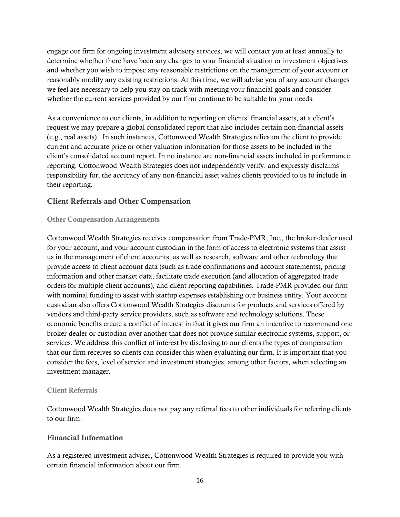engage our firm for ongoing investment advisory services, we will contact you at least annually to determine whether there have been any changes to your financial situation or investment objectives and whether you wish to impose any reasonable restrictions on the management of your account or reasonably modify any existing restrictions. At this time, we will advise you of any account changes we feel are necessary to help you stay on track with meeting your financial goals and consider whether the current services provided by our firm continue to be suitable for your needs.

As a convenience to our clients, in addition to reporting on clients' financial assets, at a client's request we may prepare a global consolidated report that also includes certain non-financial assets (e.g., real assets). In such instances, Cottonwood Wealth Strategies relies on the client to provide current and accurate price or other valuation information for those assets to be included in the client's consolidated account report. In no instance are non-financial assets included in performance reporting. Cottonwood Wealth Strategies does not independently verify, and expressly disclaims responsibility for, the accuracy of any non-financial asset values clients provided to us to include in their reporting.

#### Client Referrals and Other Compensation

#### Other Compensation Arrangements

Cottonwood Wealth Strategies receives compensation from Trade-PMR, Inc., the broker-dealer used for your account, and your account custodian in the form of access to electronic systems that assist us in the management of client accounts, as well as research, software and other technology that provide access to client account data (such as trade confirmations and account statements), pricing information and other market data, facilitate trade execution (and allocation of aggregated trade orders for multiple client accounts), and client reporting capabilities. Trade-PMR provided our firm with nominal funding to assist with startup expenses establishing our business entity. Your account custodian also offers Cottonwood Wealth Strategies discounts for products and services offered by vendors and third-party service providers, such as software and technology solutions. These economic benefits create a conflict of interest in that it gives our firm an incentive to recommend one broker-dealer or custodian over another that does not provide similar electronic systems, support, or services. We address this conflict of interest by disclosing to our clients the types of compensation that our firm receives so clients can consider this when evaluating our firm. It is important that you consider the fees, level of service and investment strategies, among other factors, when selecting an investment manager.

#### Client Referrals

Cottonwood Wealth Strategies does not pay any referral fees to other individuals for referring clients to our firm.

#### Financial Information

As a registered investment adviser, Cottonwood Wealth Strategies is required to provide you with certain financial information about our firm.